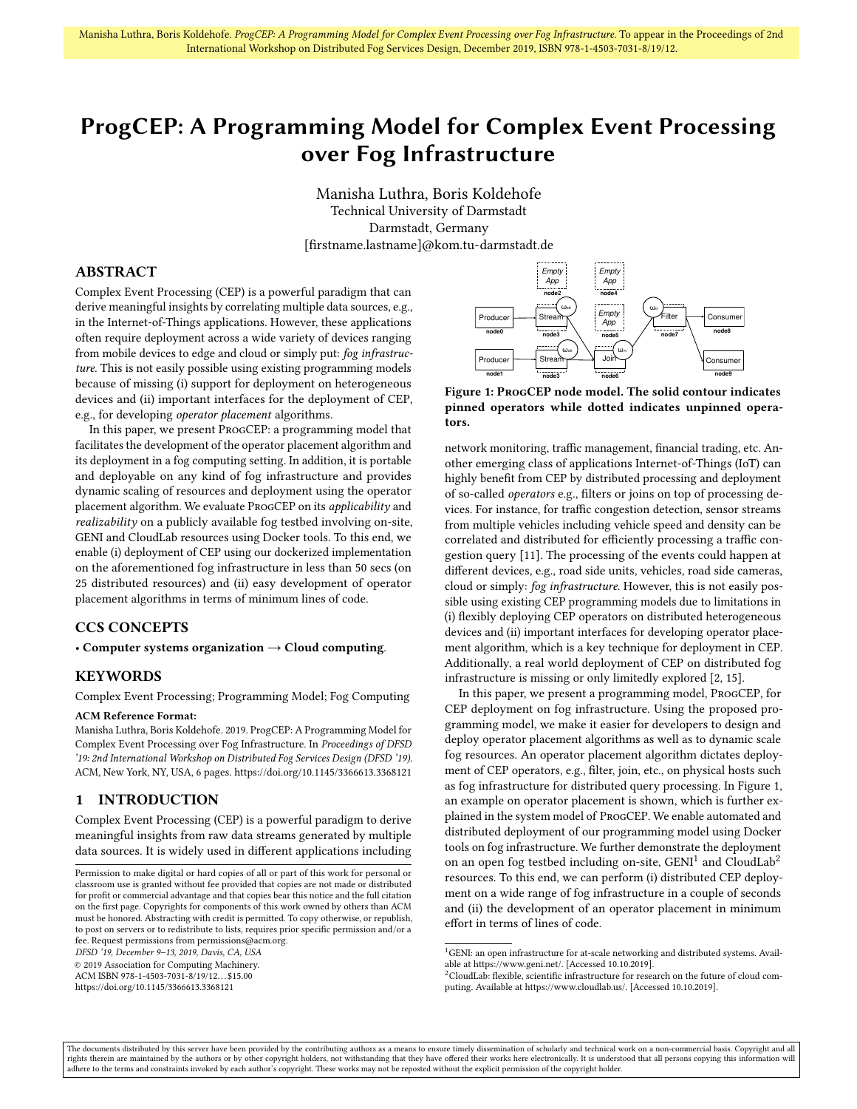# <span id="page-0-3"></span>ProgCEP: A Programming Model for Complex Event Processing over Fog Infrastructure

Manisha Luthra, Boris Koldehofe Technical University of Darmstadt Darmstadt, Germany [firstname.lastname]@kom.tu-darmstadt.de

### ABSTRACT

Complex Event Processing (CEP) is a powerful paradigm that can derive meaningful insights by correlating multiple data sources, e.g., in the Internet-of-Things applications. However, these applications often require deployment across a wide variety of devices ranging from mobile devices to edge and cloud or simply put: fog infrastructure. This is not easily possible using existing programming models because of missing (i) support for deployment on heterogeneous devices and (ii) important interfaces for the deployment of CEP, e.g., for developing operator placement algorithms.

In this paper, we present ProgCEP: a programming model that facilitates the development of the operator placement algorithm and its deployment in a fog computing setting. In addition, it is portable and deployable on any kind of fog infrastructure and provides dynamic scaling of resources and deployment using the operator placement algorithm. We evaluate ProgCEP on its applicability and realizability on a publicly available fog testbed involving on-site, GENI and CloudLab resources using Docker tools. To this end, we enable (i) deployment of CEP using our dockerized implementation on the aforementioned fog infrastructure in less than 50 secs (on 25 distributed resources) and (ii) easy development of operator placement algorithms in terms of minimum lines of code.

### CCS CONCEPTS

• Computer systems organization  $\rightarrow$  Cloud computing.

### **KEYWORDS**

Complex Event Processing; Programming Model; Fog Computing

### ACM Reference Format:

Manisha Luthra, Boris Koldehofe. 2019. ProgCEP: A Programming Model for Complex Event Processing over Fog Infrastructure. In Proceedings of DFSD '19: 2nd International Workshop on Distributed Fog Services Design (DFSD '19). ACM, New York, NY, USA, [6](#page-5-0) pages.<https://doi.org/10.1145/3366613.3368121>

### 1 INTRODUCTION

Complex Event Processing (CEP) is a powerful paradigm to derive meaningful insights from raw data streams generated by multiple data sources. It is widely used in different applications including

DFSD '19, December 9–13, 2019, Davis, CA, USA

© 2019 Association for Computing Machinery.

ACM ISBN 978-1-4503-7031-8/19/12. . . \$15.00

<https://doi.org/10.1145/3366613.3368121>

<span id="page-0-0"></span>

Figure 1: ProgCEP node model. The solid contour indicates pinned operators while dotted indicates unpinned operators.

network monitoring, traffic management, financial trading, etc. Another emerging class of applications Internet-of-Things (IoT) can highly benefit from CEP by distributed processing and deployment of so-called operators e.g., filters or joins on top of processing devices. For instance, for traffic congestion detection, sensor streams from multiple vehicles including vehicle speed and density can be correlated and distributed for efficiently processing a traffic congestion query [\[11\]](#page-5-1). The processing of the events could happen at different devices, e.g., road side units, vehicles, road side cameras, cloud or simply: fog infrastructure. However, this is not easily possible using existing CEP programming models due to limitations in (i) flexibly deploying CEP operators on distributed heterogeneous devices and (ii) important interfaces for developing operator placement algorithm, which is a key technique for deployment in CEP. Additionally, a real world deployment of CEP on distributed fog infrastructure is missing or only limitedly explored [\[2,](#page-5-2) [15\]](#page-5-3).

In this paper, we present a programming model, ProgCEP, for CEP deployment on fog infrastructure. Using the proposed programming model, we make it easier for developers to design and deploy operator placement algorithms as well as to dynamic scale fog resources. An operator placement algorithm dictates deployment of CEP operators, e.g., filter, join, etc., on physical hosts such as fog infrastructure for distributed query processing. In Figure [1,](#page-0-0) an example on operator placement is shown, which is further explained in the system model of ProgCEP. We enable automated and distributed deployment of our programming model using Docker tools on fog infrastructure. We further demonstrate the deployment on an open fog testbed including on-site,  $GENI<sup>1</sup>$  $GENI<sup>1</sup>$  $GENI<sup>1</sup>$  and  $CloudLab<sup>2</sup>$  $CloudLab<sup>2</sup>$  $CloudLab<sup>2</sup>$ resources. To this end, we can perform (i) distributed CEP deployment on a wide range of fog infrastructure in a couple of seconds and (ii) the development of an operator placement in minimum effort in terms of lines of code.

Permission to make digital or hard copies of all or part of this work for personal or classroom use is granted without fee provided that copies are not made or distributed for profit or commercial advantage and that copies bear this notice and the full citation on the first page. Copyrights for components of this work owned by others than ACM must be honored. Abstracting with credit is permitted. To copy otherwise, or republish, to post on servers or to redistribute to lists, requires prior specific permission and/or a fee. Request permissions from permissions@acm.org.

<span id="page-0-1"></span> $^1\rm{GENI:}$  an open infrastructure for at-scale networking and distributed systems. Available at [https://www.geni.net/.](https://www.geni.net/) [Accessed 10.10.2019].

<span id="page-0-2"></span><sup>2</sup>CloudLab: flexible, scientific infrastructure for research on the future of cloud computing. Available at [https://www.cloudlab.us/.](https://www.cloudlab.us/) [Accessed 10.10.2019].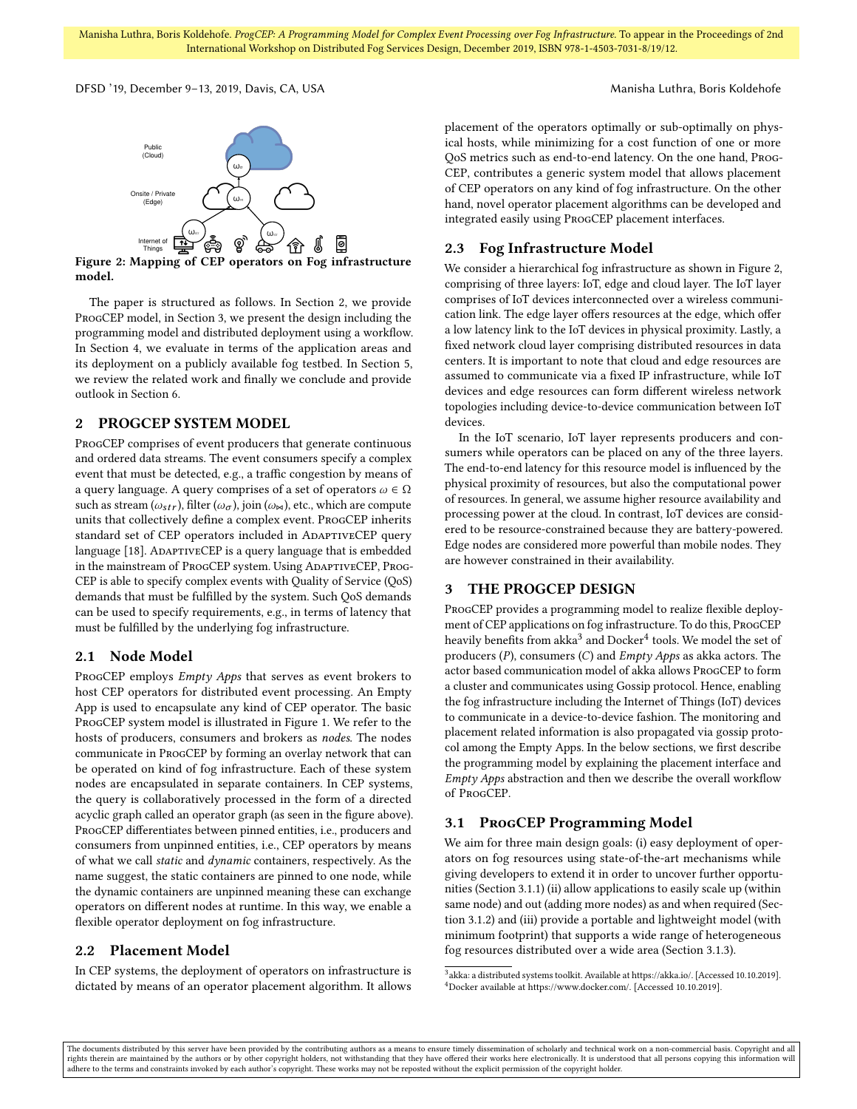Manisha Luthra, Boris Koldehofe. ProgCEP: A Programming Model for Complex Event Processing over Fog Infrastructure. To appear in the Proceedings of 2nd International Workshop on Distributed Fog Services Design, December 2019, ISBN 978-1-4503-7031-8/19/12.

<span id="page-1-2"></span>DFSD '19, December 9–13, 2019, Davis, CA, USA Manisha Luthra, Boris Koldehofe



Figure 2: Mapping of [CEP](#page-0-3) operators on Fog infrastructure model.

The paper is structured as follows. In Section [2,](#page-1-0) we provide ProgCEP model, in Section [3,](#page-1-1) we present the design including the programming model and distributed deployment using a workflow. In Section [4,](#page-4-0) we evaluate in terms of the application areas and its deployment on a publicly available fog testbed. In Section [5,](#page-5-4) we review the related work and finally we conclude and provide outlook in Section [6.](#page-5-5)

### <span id="page-1-0"></span>2 PROGCEP SYSTEM MODEL

ProgCEP comprises of event producers that generate continuous and ordered data streams. The event consumers specify a complex event that must be detected, e.g., a traffic congestion by means of a query language. A query comprises of a set of operators  $\omega \in \Omega$ such as stream ( $\omega_{str}$ ), filter ( $\omega_{\sigma}$ ), join ( $\omega_{\bowtie}$ ), etc., which are compute units that collectively define a complex event. ProgCEP inherits standard set of [CEP](#page-0-3) operators included in ADAPTIVECEP query language [\[18\]](#page-5-6). ADAPTIVECEP is a query language that is embedded in the mainstream of ProgCEP system. Using ADAPTIVECEP, Prog-CEP is able to specify complex events with [Quality of Service \(QoS\)](#page-0-3) demands that must be fulfilled by the system. Such [QoS](#page-0-3) demands can be used to specify requirements, e.g., in terms of latency that must be fulfilled by the underlying fog infrastructure.

### 2.1 Node Model

ProgCEP employs Empty Apps that serves as event brokers to host [CEP](#page-0-3) operators for distributed event processing. An Empty App is used to encapsulate any kind of [CEP](#page-0-3) operator. The basic ProgCEP system model is illustrated in Figure [1.](#page-0-0) We refer to the hosts of producers, consumers and brokers as nodes. The nodes communicate in ProgCEP by forming an overlay network that can be operated on kind of fog infrastructure. Each of these system nodes are encapsulated in separate containers. In [CEP](#page-0-3) systems, the query is collaboratively processed in the form of a directed acyclic graph called an operator graph (as seen in the figure above). ProgCEP differentiates between pinned entities, i.e., producers and consumers from unpinned entities, i.e., [CEP](#page-0-3) operators by means of what we call static and dynamic containers, respectively. As the name suggest, the static containers are pinned to one node, while the dynamic containers are unpinned meaning these can exchange operators on different nodes at runtime. In this way, we enable a flexible operator deployment on fog infrastructure.

### 2.2 Placement Model

In [CEP](#page-0-3) systems, the deployment of operators on infrastructure is dictated by means of an operator placement algorithm. It allows placement of the operators optimally or sub-optimally on physical hosts, while minimizing for a cost function of one or more [QoS](#page-0-3) metrics such as end-to-end latency. On the one hand, Prog-CEP, contributes a generic system model that allows placement of [CEP](#page-0-3) operators on any kind of fog infrastructure. On the other hand, novel operator placement algorithms can be developed and integrated easily using ProgCEP placement interfaces.

### 2.3 Fog Infrastructure Model

We consider a hierarchical fog infrastructure as shown in Figure [2,](#page-1-2) comprising of three layers: IoT, edge and cloud layer. The IoT layer comprises of IoT devices interconnected over a wireless communication link. The edge layer offers resources at the edge, which offer a low latency link to the IoT devices in physical proximity. Lastly, a fixed network cloud layer comprising distributed resources in data centers. It is important to note that cloud and edge resources are assumed to communicate via a fixed IP infrastructure, while IoT devices and edge resources can form different wireless network topologies including device-to-device communication between IoT devices.

In the IoT scenario, IoT layer represents producers and consumers while operators can be placed on any of the three layers. The end-to-end latency for this resource model is influenced by the physical proximity of resources, but also the computational power of resources. In general, we assume higher resource availability and processing power at the cloud. In contrast, IoT devices are considered to be resource-constrained because they are battery-powered. Edge nodes are considered more powerful than mobile nodes. They are however constrained in their availability.

### <span id="page-1-1"></span>3 THE PROGCEP DESIGN

ProgCEP provides a programming model to realize flexible deployment of [CEP](#page-0-3) applications on fog infrastructure. To do this, ProgCEP heavily benefits from akka $^3$  $^3$  and  $\rm{Docker}^4$  $\rm{Docker}^4$  tools. We model the set of producers  $(P)$ , consumers  $(C)$  and *Empty Apps* as akka actors. The actor based communication model of akka allows ProgCEP to form a cluster and communicates using Gossip protocol. Hence, enabling the fog infrastructure including the [Internet of Things \(IoT\)](#page-0-3) devices to communicate in a device-to-device fashion. The monitoring and placement related information is also propagated via gossip protocol among the Empty Apps. In the below sections, we first describe the programming model by explaining the placement interface and Empty Apps abstraction and then we describe the overall workflow of ProgCEP.

## 3.1 PROGCEP Programming Model

We aim for three main design goals: (i) easy deployment of operators on fog resources using state-of-the-art mechanisms while giving developers to extend it in order to uncover further opportunities (Section [3.1.1\)](#page-2-0) (ii) allow applications to easily scale up (within same node) and out (adding more nodes) as and when required (Section [3.1.2\)](#page-2-1) and (iii) provide a portable and lightweight model (with minimum footprint) that supports a wide range of heterogeneous fog resources distributed over a wide area (Section [3.1.3\)](#page-3-0).

<span id="page-1-4"></span><span id="page-1-3"></span><sup>&</sup>lt;sup>3</sup> akka: a distributed systems toolkit. Available at [https://akka.io/.](https://akka.io/) [Accessed 10.10.2019]. <sup>4</sup>Docker available at [https://www.docker.com/.](https://www.docker.com/) [Accessed 10.10.2019].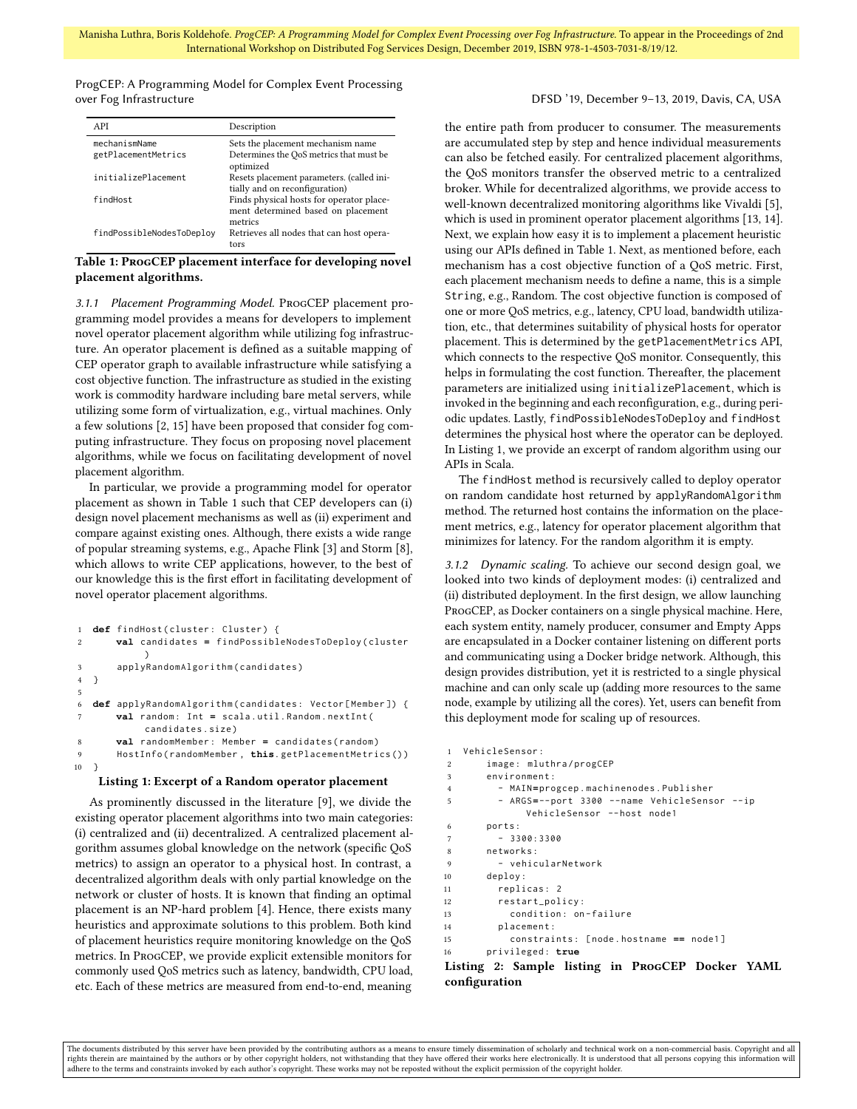ProgCEP: A Programming Model for Complex Event Processing over Fog Infrastructure DFSD '19, December 9–13, 2019, Davis, CA, USA

<span id="page-2-2"></span>

| API                                  | Description                                                                               |
|--------------------------------------|-------------------------------------------------------------------------------------------|
| mechanismName<br>getPlacementMetrics | Sets the placement mechanism name<br>Determines the OoS metrics that must be<br>optimized |
| initializePlacement                  | Resets placement parameters. (called ini-<br>tially and on reconfiguration)               |
| findHost                             | Finds physical hosts for operator place-<br>ment determined based on placement<br>metrics |
| findPossibleNodesToDeploy            | Retrieves all nodes that can host opera-<br>tors                                          |

Table 1: ProgCEP placement interface for developing novel placement algorithms.

<span id="page-2-0"></span>3.1.1 Placement Programming Model. ProgCEP placement programming model provides a means for developers to implement novel operator placement algorithm while utilizing fog infrastructure. An operator placement is defined as a suitable mapping of [CEP](#page-0-3) operator graph to available infrastructure while satisfying a cost objective function. The infrastructure as studied in the existing work is commodity hardware including bare metal servers, while utilizing some form of virtualization, e.g., virtual machines. Only a few solutions [\[2,](#page-5-2) [15\]](#page-5-3) have been proposed that consider fog computing infrastructure. They focus on proposing novel placement algorithms, while we focus on facilitating development of novel placement algorithm.

In particular, we provide a programming model for operator placement as shown in Table [1](#page-2-2) such that [CEP](#page-0-3) developers can (i) design novel placement mechanisms as well as (ii) experiment and compare against existing ones. Although, there exists a wide range of popular streaming systems, e.g., Apache Flink [\[3\]](#page-5-7) and Storm [\[8\]](#page-5-8), which allows to write [CEP](#page-0-3) applications, however, to the best of our knowledge this is the first effort in facilitating development of novel operator placement algorithms.

```
1 def findHost (cluster: Cluster) {
2 val candidates = findPossibleNodesToDeploy ( cluster
            \lambda3 applyRandomAlgorithm ( candidates )
4 }
5
6 def applyRandomAlgorithm ( candidates : Vector [ Member ]) {
       7 val random : Int = scala . util . Random . nextInt (
            candidates . size )
       8 val randomMember : Member = candidates ( random )
9 HostInfo ( randomMember , this. getPlacementMetrics () )
10 }
```
#### Listing 1: Excerpt of a Random operator placement

As prominently discussed in the literature [\[9\]](#page-5-9), we divide the existing operator placement algorithms into two main categories: (i) centralized and (ii) decentralized. A centralized placement algorithm assumes global knowledge on the network (specific [QoS](#page-0-3) metrics) to assign an operator to a physical host. In contrast, a decentralized algorithm deals with only partial knowledge on the network or cluster of hosts. It is known that finding an optimal placement is an NP-hard problem [\[4\]](#page-5-10). Hence, there exists many heuristics and approximate solutions to this problem. Both kind of placement heuristics require monitoring knowledge on the [QoS](#page-0-3) metrics. In ProgCEP, we provide explicit extensible monitors for commonly used [QoS](#page-0-3) metrics such as latency, bandwidth, CPU load, etc. Each of these metrics are measured from end-to-end, meaning

the entire path from producer to consumer. The measurements are accumulated step by step and hence individual measurements can also be fetched easily. For centralized placement algorithms, the QoS monitors transfer the observed metric to a centralized broker. While for decentralized algorithms, we provide access to well-known decentralized monitoring algorithms like Vivaldi [\[5\]](#page-5-11), which is used in prominent operator placement algorithms [\[13,](#page-5-12) [14\]](#page-5-13). Next, we explain how easy it is to implement a placement heuristic using our APIs defined in Table [1.](#page-2-2) Next, as mentioned before, each mechanism has a cost objective function of a [QoS](#page-0-3) metric. First, each placement mechanism needs to define a name, this is a simple String, e.g., Random. The cost objective function is composed of one or more [QoS](#page-0-3) metrics, e.g., latency, CPU load, bandwidth utilization, etc., that determines suitability of physical hosts for operator placement. This is determined by the getPlacementMetrics API, which connects to the respective [QoS](#page-0-3) monitor. Consequently, this helps in formulating the cost function. Thereafter, the placement parameters are initialized using initializePlacement, which is invoked in the beginning and each reconfiguration, e.g., during periodic updates. Lastly, findPossibleNodesToDeploy and findHost determines the physical host where the operator can be deployed. In Listing [1,](#page-2-3) we provide an excerpt of random algorithm using our APIs in Scala.

The findHost method is recursively called to deploy operator on random candidate host returned by applyRandomAlgorithm method. The returned host contains the information on the placement metrics, e.g., latency for operator placement algorithm that minimizes for latency. For the random algorithm it is empty.

<span id="page-2-1"></span>3.1.2 Dynamic scaling. To achieve our second design goal, we looked into two kinds of deployment modes: (i) centralized and (ii) distributed deployment. In the first design, we allow launching ProgCEP, as Docker containers on a single physical machine. Here, each system entity, namely producer, consumer and Empty Apps are encapsulated in a Docker container listening on different ports and communicating using a Docker bridge network. Although, this design provides distribution, yet it is restricted to a single physical machine and can only scale up (adding more resources to the same node, example by utilizing all the cores). Yet, users can benefit from this deployment mode for scaling up of resources.

```
1 VehicleSensor :
2 image : mluthra / progCEP
3 environment :
4 - MAIN=progcep . machinenodes . Publisher
5 - ARGS=-- port 3300 -- name VehicleSensor -- ip
            VehicleSensor -- host node1
6 ports :
7 - 3300:33008 networks :
9 - vehicularNetwork
10 deploy :
11 replicas : 2
12 restart_policy :
13 condition: on-failure
14 placement :
15 constraints : [ node . hostname == node1 ]
16 privileged : true
```
### Listing 2: Sample listing in ProgCEP Docker YAML configuration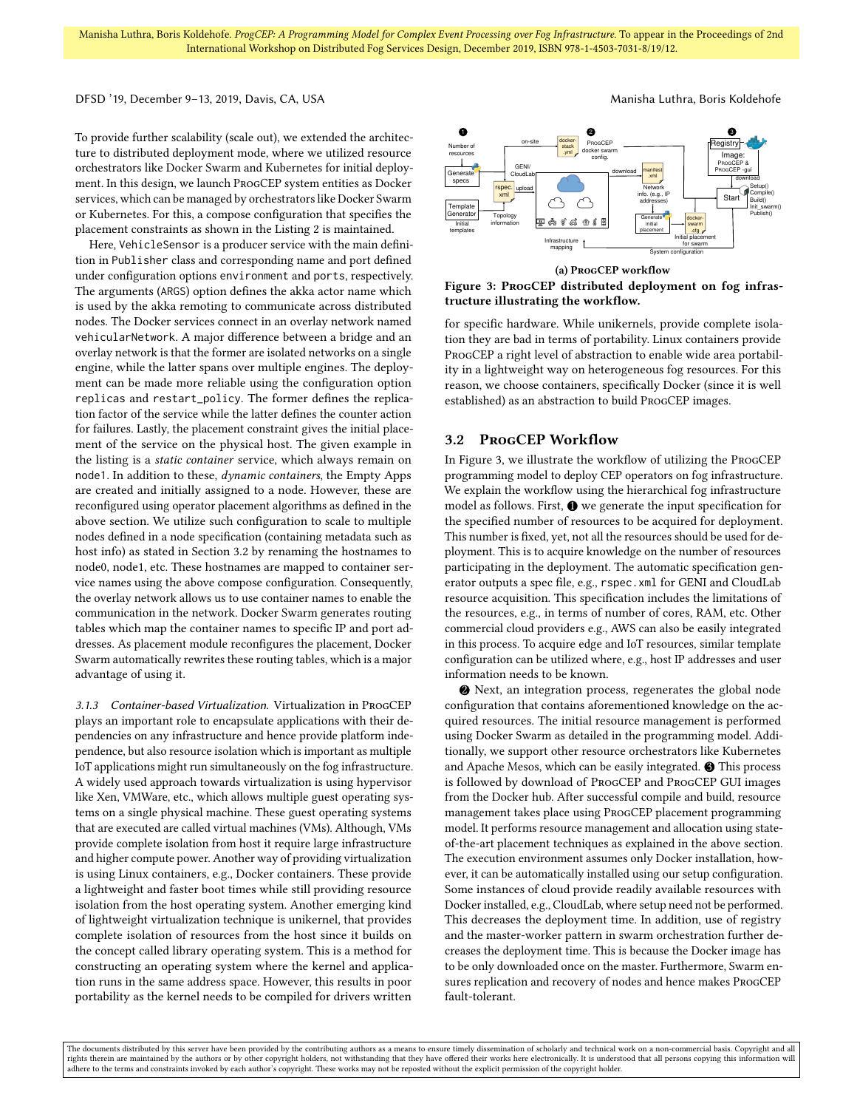### DFSD '19, December 9-13, 2019, Davis, CA, USA Manisha Luthra, Boris Koldehofe

To provide further scalability (scale out), we extended the architecture to distributed deployment mode, where we utilized resource orchestrators like Docker Swarm and Kubernetes for initial deployment. In this design, we launch ProgCEP system entities as Docker services, which can be managed by orchestrators like Docker Swarm or Kubernetes. For this, a compose configuration that specifies the placement constraints as shown in the Listing [2](#page-2-4) is maintained.

Here, VehicleSensor is a producer service with the main definition in Publisher class and corresponding name and port defined under configuration options environment and ports, respectively. The arguments (ARGS) option defines the akka actor name which is used by the akka remoting to communicate across distributed nodes. The Docker services connect in an overlay network named vehicularNetwork. A major difference between a bridge and an overlay network is that the former are isolated networks on a single engine, while the latter spans over multiple engines. The deployment can be made more reliable using the configuration option replicas and restart\_policy. The former defines the replication factor of the service while the latter defines the counter action for failures. Lastly, the placement constraint gives the initial placement of the service on the physical host. The given example in the listing is a static container service, which always remain on node1. In addition to these, dynamic containers, the Empty Apps are created and initially assigned to a node. However, these are reconfigured using operator placement algorithms as defined in the above section. We utilize such configuration to scale to multiple nodes defined in a node specification (containing metadata such as host info) as stated in Section [3.2](#page-3-1) by renaming the hostnames to node0, node1, etc. These hostnames are mapped to container service names using the above compose configuration. Consequently, the overlay network allows us to use container names to enable the communication in the network. Docker Swarm generates routing tables which map the container names to specific IP and port addresses. As placement module reconfigures the placement, Docker Swarm automatically rewrites these routing tables, which is a major advantage of using it.

<span id="page-3-0"></span>3.1.3 Container-based Virtualization. Virtualization in ProgCEP plays an important role to encapsulate applications with their dependencies on any infrastructure and hence provide platform independence, but also resource isolation which is important as multiple [IoT](#page-0-3) applications might run simultaneously on the fog infrastructure. A widely used approach towards virtualization is using hypervisor like Xen, VMWare, etc., which allows multiple guest operating systems on a single physical machine. These guest operating systems that are executed are called virtual machines (VMs). Although, VMs provide complete isolation from host it require large infrastructure and higher compute power. Another way of providing virtualization is using Linux containers, e.g., Docker containers. These provide a lightweight and faster boot times while still providing resource isolation from the host operating system. Another emerging kind of lightweight virtualization technique is unikernel, that provides complete isolation of resources from the host since it builds on the concept called library operating system. This is a method for constructing an operating system where the kernel and application runs in the same address space. However, this results in poor portability as the kernel needs to be compiled for drivers written

<span id="page-3-2"></span>

(a) ProgCEP workflow

Figure 3: ProgCEP distributed deployment on fog infrastructure illustrating the workflow.

for specific hardware. While unikernels, provide complete isolation they are bad in terms of portability. Linux containers provide ProgCEP a right level of abstraction to enable wide area portability in a lightweight way on heterogeneous fog resources. For this reason, we choose containers, specifically Docker (since it is well established) as an abstraction to build ProgCEP images.

### <span id="page-3-1"></span>3.2 ProgCEP Workflow

In Figure [3,](#page-3-2) we illustrate the workflow of utilizing the ProgCEP programming model to deploy [CEP](#page-0-3) operators on fog infrastructure. We explain the workflow using the hierarchical fog infrastructure model as follows. First,  $\bullet$  we generate the input specification for the specified number of resources to be acquired for deployment. This number is fixed, yet, not all the resources should be used for deployment. This is to acquire knowledge on the number of resources participating in the deployment. The automatic specification generator outputs a spec file, e.g., rspec.xml for GENI and CloudLab resource acquisition. This specification includes the limitations of the resources, e.g., in terms of number of cores, RAM, etc. Other commercial cloud providers e.g., AWS can also be easily integrated in this process. To acquire edge and IoT resources, similar template configuration can be utilized where, e.g., host IP addresses and user information needs to be known.

2 Next, an integration process, regenerates the global node configuration that contains aforementioned knowledge on the acquired resources. The initial resource management is performed using Docker Swarm as detailed in the programming model. Additionally, we support other resource orchestrators like Kubernetes and Apache Mesos, which can be easily integrated.  $\bigcirc$  This process is followed by download of ProgCEP and ProgCEP GUI images from the Docker hub. After successful compile and build, resource management takes place using ProgCEP placement programming model. It performs resource management and allocation using stateof-the-art placement techniques as explained in the above section. The execution environment assumes only Docker installation, however, it can be automatically installed using our setup configuration. Some instances of cloud provide readily available resources with Docker installed, e.g., CloudLab, where setup need not be performed. This decreases the deployment time. In addition, use of registry and the master-worker pattern in swarm orchestration further decreases the deployment time. This is because the Docker image has to be only downloaded once on the master. Furthermore, Swarm ensures replication and recovery of nodes and hence makes ProgCEP fault-tolerant.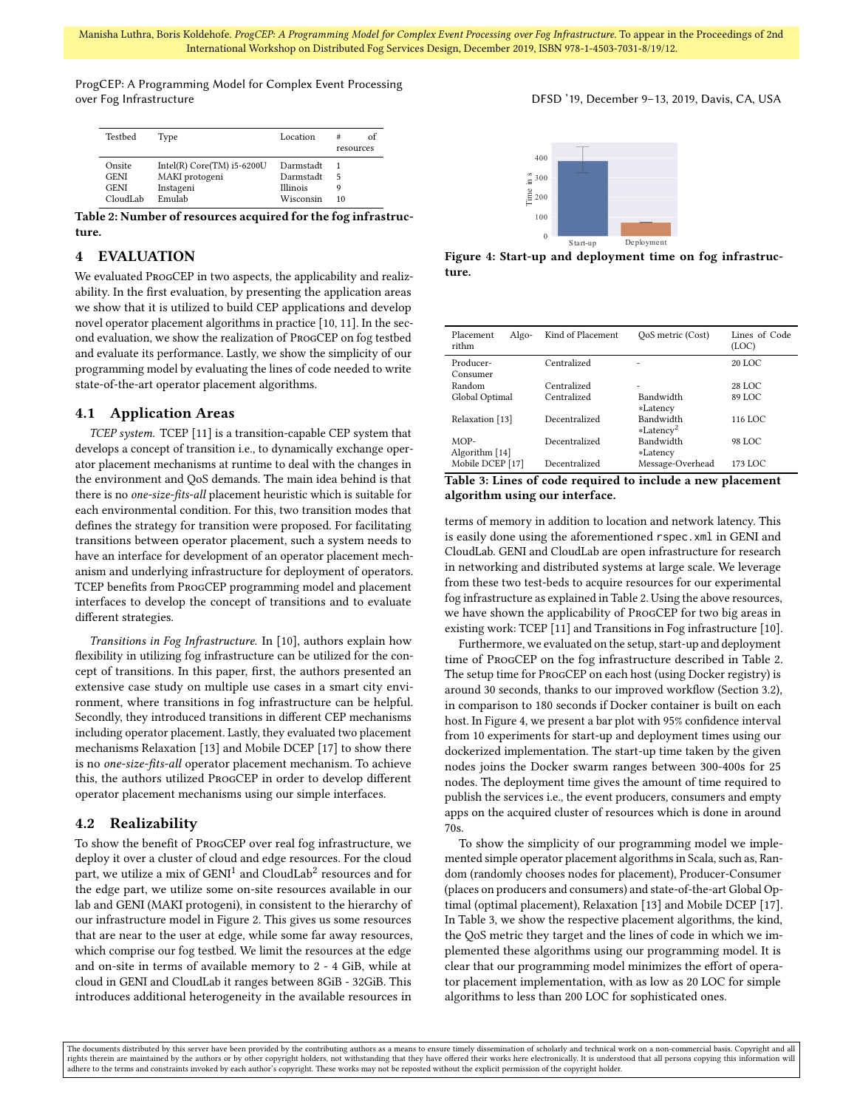Manisha Luthra, Boris Koldehofe. ProgCEP: A Programming Model for Complex Event Processing over Fog Infrastructure. To appear in the Proceedings of 2nd International Workshop on Distributed Fog Services Design, December 2019, ISBN 978-1-4503-7031-8/19/12.

ProgCEP: A Programming Model for Complex Event Processing over Fog Infrastructure DFSD '19, December 9–13, 2019, Davis, CA, USA

<span id="page-4-1"></span>

| Testbed                                          | Type                                                                  | Location                                        | of<br>#<br>resources |
|--------------------------------------------------|-----------------------------------------------------------------------|-------------------------------------------------|----------------------|
| Onsite<br><b>GENI</b><br><b>GENI</b><br>CloudLab | Intel(R) $Core(TM)$ i5-6200U<br>MAKI protogeni<br>Instageni<br>Emulah | Darmstadt<br>Darmstadt<br>Illinois<br>Wisconsin | 5<br>10              |

Table 2: Number of resources acquired for the fog infrastructure.

### <span id="page-4-0"></span>4 EVALUATION

We evaluated ProgCEP in two aspects, the applicability and realizability. In the first evaluation, by presenting the application areas we show that it is utilized to build CEP applications and develop novel operator placement algorithms in practice [\[10,](#page-5-14) [11\]](#page-5-1). In the second evaluation, we show the realization of ProgCEP on fog testbed and evaluate its performance. Lastly, we show the simplicity of our programming model by evaluating the lines of code needed to write state-of-the-art operator placement algorithms.

### 4.1 Application Areas

TCEP system. TCEP [\[11\]](#page-5-1) is a transition-capable [CEP](#page-0-3) system that develops a concept of transition i.e., to dynamically exchange operator placement mechanisms at runtime to deal with the changes in the environment and [QoS](#page-0-3) demands. The main idea behind is that there is no one-size-fits-all placement heuristic which is suitable for each environmental condition. For this, two transition modes that defines the strategy for transition were proposed. For facilitating transitions between operator placement, such a system needs to have an interface for development of an operator placement mechanism and underlying infrastructure for deployment of operators. TCEP benefits from ProgCEP programming model and placement interfaces to develop the concept of transitions and to evaluate different strategies.

Transitions in Fog Infrastructure. In [\[10\]](#page-5-14), authors explain how flexibility in utilizing fog infrastructure can be utilized for the concept of transitions. In this paper, first, the authors presented an extensive case study on multiple use cases in a smart city environment, where transitions in fog infrastructure can be helpful. Secondly, they introduced transitions in different [CEP](#page-0-3) mechanisms including operator placement. Lastly, they evaluated two placement mechanisms Relaxation [\[13\]](#page-5-12) and Mobile DCEP [\[17\]](#page-5-15) to show there is no one-size-fits-all operator placement mechanism. To achieve this, the authors utilized ProgCEP in order to develop different operator placement mechanisms using our simple interfaces.

### 4.2 Realizability

To show the benefit of ProgCEP over real fog infrastructure, we deploy it over a cluster of cloud and edge resources. For the cloud part, we utilize a mix of  $\mathrm{GENI}^1$  $\mathrm{GENI}^1$  and  $\mathrm{CloudLab}^2$  $\mathrm{CloudLab}^2$  resources and for the edge part, we utilize some on-site resources available in our lab and GENI (MAKI protogeni), in consistent to the hierarchy of our infrastructure model in Figure [2.](#page-1-2) This gives us some resources that are near to the user at edge, while some far away resources, which comprise our fog testbed. We limit the resources at the edge and on-site in terms of available memory to 2 - 4 GiB, while at cloud in GENI and CloudLab it ranges between 8GiB - 32GiB. This introduces additional heterogeneity in the available resources in

<span id="page-4-2"></span>

Figure 4: Start-up and deployment time on fog infrastructure.

<span id="page-4-3"></span>

| Placement<br>Algo-<br>rithm | Kind of Placement | OoS metric (Cost)                         | Lines of Code<br>(LOC) |
|-----------------------------|-------------------|-------------------------------------------|------------------------|
| Producer-<br>Consumer       | Centralized       |                                           | 20 LOC                 |
| Random                      | Centralized       | $\overline{\phantom{0}}$                  | 28 LOC                 |
| Global Optimal              | Centralized       | <b>Bandwidth</b><br>*Latency              | 89 LOC                 |
| Relaxation [13]             | Decentralized     | <b>Bandwidth</b><br>*Latency <sup>2</sup> | 116 LOC                |
| MOP-<br>Algorithm [14]      | Decentralized     | Bandwidth<br>*Latency                     | 98 LOC                 |
| Mobile DCEP [17]            | Decentralized     | Message-Overhead                          | 173 LOC                |

Table 3: Lines of code required to include a new placement algorithm using our interface.

terms of memory in addition to location and network latency. This is easily done using the aforementioned rspec.xml in GENI and CloudLab. GENI and CloudLab are open infrastructure for research in networking and distributed systems at large scale. We leverage from these two test-beds to acquire resources for our experimental fog infrastructure as explained in Table [2.](#page-4-1) Using the above resources, we have shown the applicability of ProgCEP for two big areas in existing work: TCEP [\[11\]](#page-5-1) and Transitions in Fog infrastructure [\[10\]](#page-5-14).

Furthermore, we evaluated on the setup, start-up and deployment time of ProgCEP on the fog infrastructure described in Table [2.](#page-4-1) The setup time for ProgCEP on each host (using Docker registry) is around 30 seconds, thanks to our improved workflow (Section [3.2\)](#page-3-1), in comparison to 180 seconds if Docker container is built on each host. In Figure [4,](#page-4-2) we present a bar plot with 95% confidence interval from 10 experiments for start-up and deployment times using our dockerized implementation. The start-up time taken by the given nodes joins the Docker swarm ranges between 300-400s for 25 nodes. The deployment time gives the amount of time required to publish the services i.e., the event producers, consumers and empty apps on the acquired cluster of resources which is done in around 70s.

To show the simplicity of our programming model we implemented simple operator placement algorithms in Scala, such as, Random (randomly chooses nodes for placement), Producer-Consumer (places on producers and consumers) and state-of-the-art Global Optimal (optimal placement), Relaxation [\[13\]](#page-5-12) and Mobile DCEP [\[17\]](#page-5-15). In Table [3,](#page-4-3) we show the respective placement algorithms, the kind, the QoS metric they target and the lines of code in which we implemented these algorithms using our programming model. It is clear that our programming model minimizes the effort of operator placement implementation, with as low as 20 LOC for simple algorithms to less than 200 LOC for sophisticated ones.